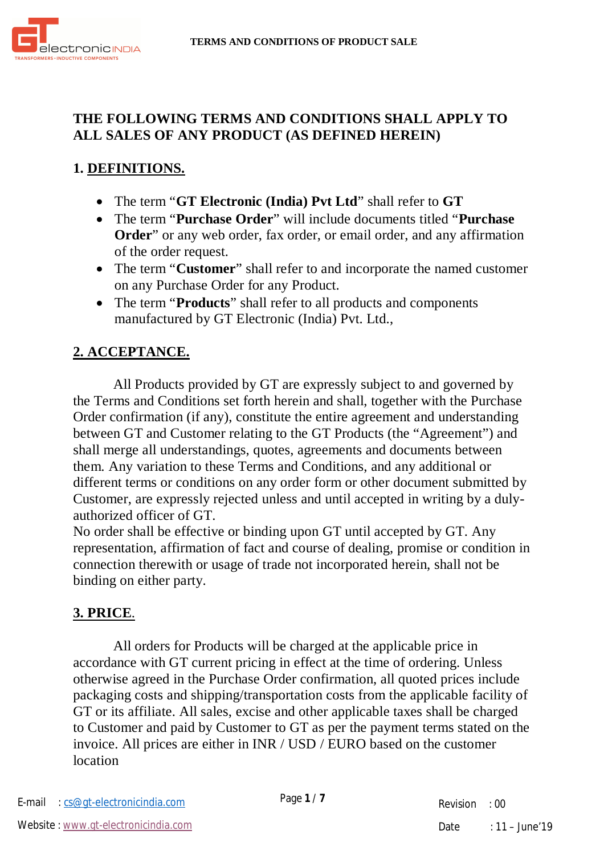

### **THE FOLLOWING TERMS AND CONDITIONS SHALL APPLY TO ALL SALES OF ANY PRODUCT (AS DEFINED HEREIN)**

# **1. DEFINITIONS.**

- The term "**GT Electronic (India) Pvt Ltd**" shall refer to **GT**
- The term "**Purchase Order**" will include documents titled "**Purchase Order**" or any web order, fax order, or email order, and any affirmation of the order request.
- The term "**Customer**" shall refer to and incorporate the named customer on any Purchase Order for any Product.
- The term "**Products**" shall refer to all products and components manufactured by GT Electronic (India) Pvt. Ltd.,

### **2. ACCEPTANCE.**

All Products provided by GT are expressly subject to and governed by the Terms and Conditions set forth herein and shall, together with the Purchase Order confirmation (if any), constitute the entire agreement and understanding between GT and Customer relating to the GT Products (the "Agreement") and shall merge all understandings, quotes, agreements and documents between them. Any variation to these Terms and Conditions, and any additional or different terms or conditions on any order form or other document submitted by Customer, are expressly rejected unless and until accepted in writing by a dulyauthorized officer of GT.

No order shall be effective or binding upon GT until accepted by GT. Any representation, affirmation of fact and course of dealing, promise or condition in connection therewith or usage of trade not incorporated herein, shall not be binding on either party.

#### **3. PRICE**.

All orders for Products will be charged at the applicable price in accordance with GT current pricing in effect at the time of ordering. Unless otherwise agreed in the Purchase Order confirmation, all quoted prices include packaging costs and shipping/transportation costs from the applicable facility of GT or its affiliate. All sales, excise and other applicable taxes shall be charged to Customer and paid by Customer to GT as per the payment terms stated on the invoice. All prices are either in INR / USD / EURO based on the customer location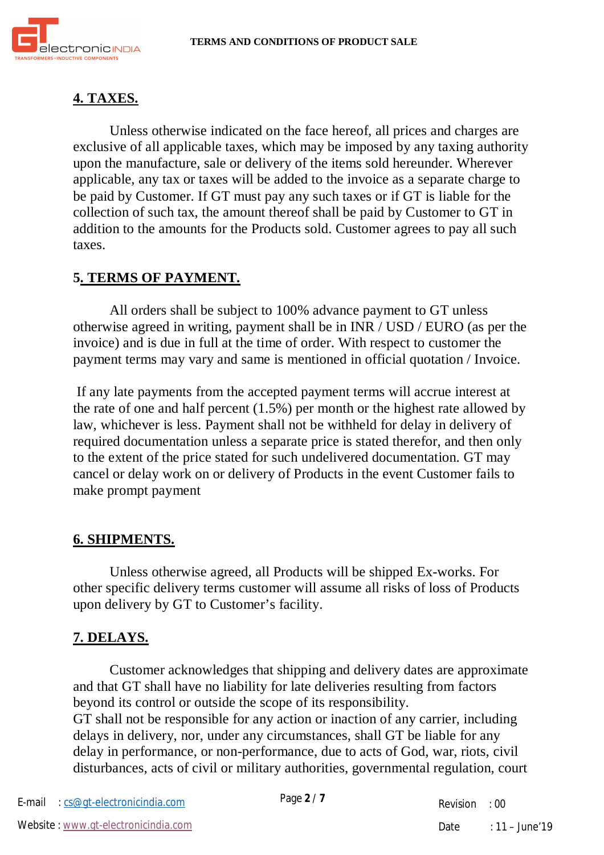

## **4. TAXES.**

Unless otherwise indicated on the face hereof, all prices and charges are exclusive of all applicable taxes, which may be imposed by any taxing authority upon the manufacture, sale or delivery of the items sold hereunder. Wherever applicable, any tax or taxes will be added to the invoice as a separate charge to be paid by Customer. If GT must pay any such taxes or if GT is liable for the collection of such tax, the amount thereof shall be paid by Customer to GT in addition to the amounts for the Products sold. Customer agrees to pay all such taxes.

### **5. TERMS OF PAYMENT.**

All orders shall be subject to 100% advance payment to GT unless otherwise agreed in writing, payment shall be in INR / USD / EURO (as per the invoice) and is due in full at the time of order. With respect to customer the payment terms may vary and same is mentioned in official quotation / Invoice.

If any late payments from the accepted payment terms will accrue interest at the rate of one and half percent (1.5%) per month or the highest rate allowed by law, whichever is less. Payment shall not be withheld for delay in delivery of required documentation unless a separate price is stated therefor, and then only to the extent of the price stated for such undelivered documentation. GT may cancel or delay work on or delivery of Products in the event Customer fails to make prompt payment

#### **6. SHIPMENTS.**

Unless otherwise agreed, all Products will be shipped Ex-works. For other specific delivery terms customer will assume all risks of loss of Products upon delivery by GT to Customer's facility.

#### **7. DELAYS.**

Customer acknowledges that shipping and delivery dates are approximate and that GT shall have no liability for late deliveries resulting from factors beyond its control or outside the scope of its responsibility. GT shall not be responsible for any action or inaction of any carrier, including delays in delivery, nor, under any circumstances, shall GT be liable for any delay in performance, or non-performance, due to acts of God, war, riots, civil disturbances, acts of civil or military authorities, governmental regulation, court

Revision : 00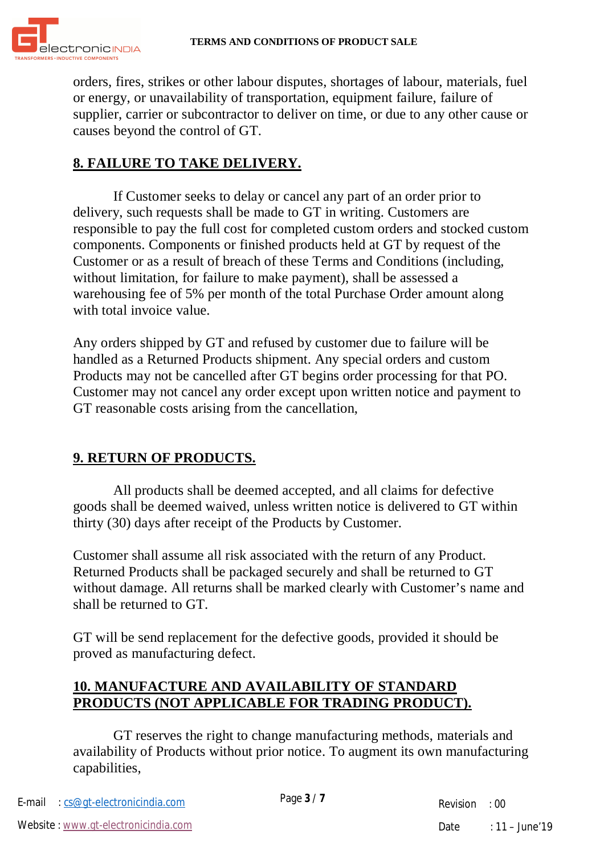

orders, fires, strikes or other labour disputes, shortages of labour, materials, fuel or energy, or unavailability of transportation, equipment failure, failure of supplier, carrier or subcontractor to deliver on time, or due to any other cause or causes beyond the control of GT.

## **8. FAILURE TO TAKE DELIVERY.**

If Customer seeks to delay or cancel any part of an order prior to delivery, such requests shall be made to GT in writing. Customers are responsible to pay the full cost for completed custom orders and stocked custom components. Components or finished products held at GT by request of the Customer or as a result of breach of these Terms and Conditions (including, without limitation, for failure to make payment), shall be assessed a warehousing fee of 5% per month of the total Purchase Order amount along with total invoice value.

Any orders shipped by GT and refused by customer due to failure will be handled as a Returned Products shipment. Any special orders and custom Products may not be cancelled after GT begins order processing for that PO. Customer may not cancel any order except upon written notice and payment to GT reasonable costs arising from the cancellation,

## **9. RETURN OF PRODUCTS.**

All products shall be deemed accepted, and all claims for defective goods shall be deemed waived, unless written notice is delivered to GT within thirty (30) days after receipt of the Products by Customer.

Customer shall assume all risk associated with the return of any Product. Returned Products shall be packaged securely and shall be returned to GT without damage. All returns shall be marked clearly with Customer's name and shall be returned to GT.

GT will be send replacement for the defective goods, provided it should be proved as manufacturing defect.

### **10. MANUFACTURE AND AVAILABILITY OF STANDARD PRODUCTS (NOT APPLICABLE FOR TRADING PRODUCT).**

GT reserves the right to change manufacturing methods, materials and availability of Products without prior notice. To augment its own manufacturing capabilities,

Page **3** / **7** E-mail : cs@gt-electronicindia.com

Revision : 00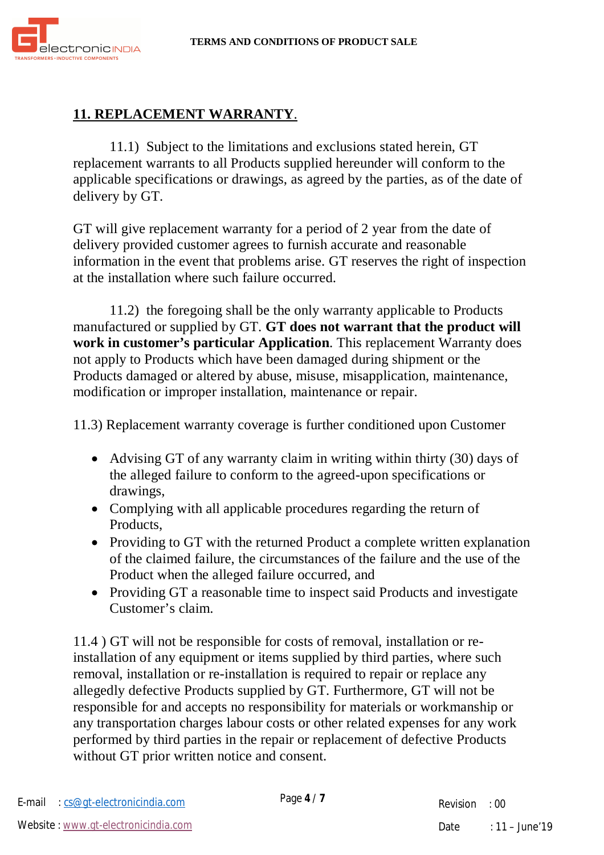

## **11. REPLACEMENT WARRANTY**.

11.1) Subject to the limitations and exclusions stated herein, GT replacement warrants to all Products supplied hereunder will conform to the applicable specifications or drawings, as agreed by the parties, as of the date of delivery by GT.

GT will give replacement warranty for a period of 2 year from the date of delivery provided customer agrees to furnish accurate and reasonable information in the event that problems arise. GT reserves the right of inspection at the installation where such failure occurred.

11.2) the foregoing shall be the only warranty applicable to Products manufactured or supplied by GT. **GT does not warrant that the product will work in customer's particular Application**. This replacement Warranty does not apply to Products which have been damaged during shipment or the Products damaged or altered by abuse, misuse, misapplication, maintenance, modification or improper installation, maintenance or repair.

11.3) Replacement warranty coverage is further conditioned upon Customer

- Advising GT of any warranty claim in writing within thirty (30) days of the alleged failure to conform to the agreed-upon specifications or drawings,
- Complying with all applicable procedures regarding the return of Products,
- Providing to GT with the returned Product a complete written explanation of the claimed failure, the circumstances of the failure and the use of the Product when the alleged failure occurred, and
- Providing GT a reasonable time to inspect said Products and investigate Customer's claim.

11.4 ) GT will not be responsible for costs of removal, installation or reinstallation of any equipment or items supplied by third parties, where such removal, installation or re-installation is required to repair or replace any allegedly defective Products supplied by GT. Furthermore, GT will not be responsible for and accepts no responsibility for materials or workmanship or any transportation charges labour costs or other related expenses for any work performed by third parties in the repair or replacement of defective Products without GT prior written notice and consent.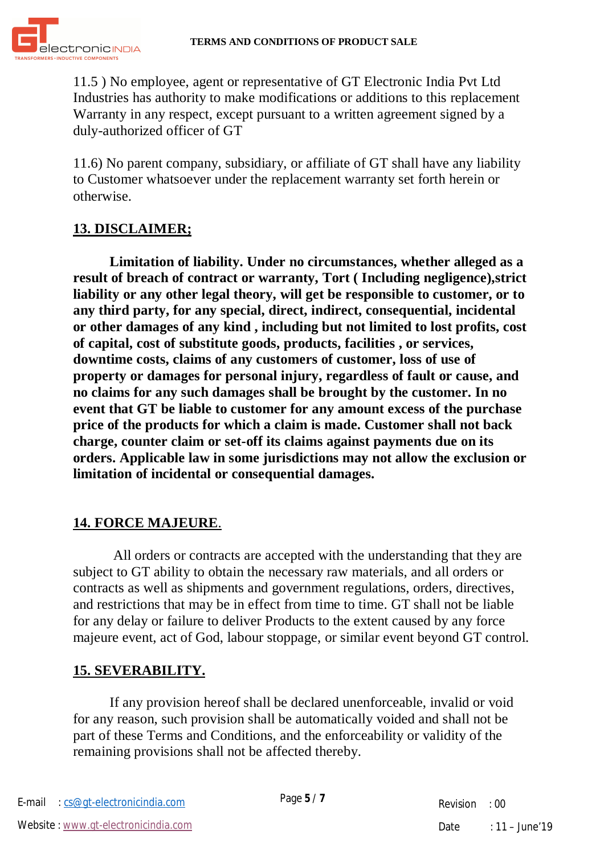

11.5 ) No employee, agent or representative of GT Electronic India Pvt Ltd Industries has authority to make modifications or additions to this replacement Warranty in any respect, except pursuant to a written agreement signed by a duly-authorized officer of GT

11.6) No parent company, subsidiary, or affiliate of GT shall have any liability to Customer whatsoever under the replacement warranty set forth herein or otherwise.

#### **13. DISCLAIMER;**

**Limitation of liability. Under no circumstances, whether alleged as a result of breach of contract or warranty, Tort ( Including negligence),strict liability or any other legal theory, will get be responsible to customer, or to any third party, for any special, direct, indirect, consequential, incidental or other damages of any kind , including but not limited to lost profits, cost of capital, cost of substitute goods, products, facilities , or services, downtime costs, claims of any customers of customer, loss of use of property or damages for personal injury, regardless of fault or cause, and no claims for any such damages shall be brought by the customer. In no event that GT be liable to customer for any amount excess of the purchase price of the products for which a claim is made. Customer shall not back charge, counter claim or set-off its claims against payments due on its orders. Applicable law in some jurisdictions may not allow the exclusion or limitation of incidental or consequential damages.**

## **14. FORCE MAJEURE**.

All orders or contracts are accepted with the understanding that they are subject to GT ability to obtain the necessary raw materials, and all orders or contracts as well as shipments and government regulations, orders, directives, and restrictions that may be in effect from time to time. GT shall not be liable for any delay or failure to deliver Products to the extent caused by any force majeure event, act of God, labour stoppage, or similar event beyond GT control.

## **15. SEVERABILITY.**

If any provision hereof shall be declared unenforceable, invalid or void for any reason, such provision shall be automatically voided and shall not be part of these Terms and Conditions, and the enforceability or validity of the remaining provisions shall not be affected thereby.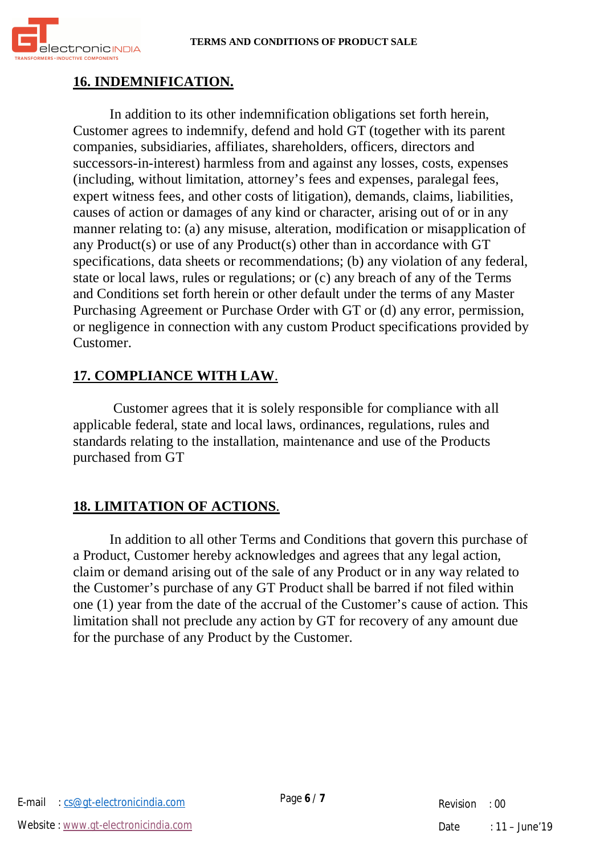

## **16. INDEMNIFICATION.**

In addition to its other indemnification obligations set forth herein, Customer agrees to indemnify, defend and hold GT (together with its parent companies, subsidiaries, affiliates, shareholders, officers, directors and successors-in-interest) harmless from and against any losses, costs, expenses (including, without limitation, attorney's fees and expenses, paralegal fees, expert witness fees, and other costs of litigation), demands, claims, liabilities, causes of action or damages of any kind or character, arising out of or in any manner relating to: (a) any misuse, alteration, modification or misapplication of any Product(s) or use of any Product(s) other than in accordance with GT specifications, data sheets or recommendations; (b) any violation of any federal, state or local laws, rules or regulations; or (c) any breach of any of the Terms and Conditions set forth herein or other default under the terms of any Master Purchasing Agreement or Purchase Order with GT or (d) any error, permission, or negligence in connection with any custom Product specifications provided by Customer.

### **17. COMPLIANCE WITH LAW**.

Customer agrees that it is solely responsible for compliance with all applicable federal, state and local laws, ordinances, regulations, rules and standards relating to the installation, maintenance and use of the Products purchased from GT

## **18. LIMITATION OF ACTIONS**.

In addition to all other Terms and Conditions that govern this purchase of a Product, Customer hereby acknowledges and agrees that any legal action, claim or demand arising out of the sale of any Product or in any way related to the Customer's purchase of any GT Product shall be barred if not filed within one (1) year from the date of the accrual of the Customer's cause of action. This limitation shall not preclude any action by GT for recovery of any amount due for the purchase of any Product by the Customer.